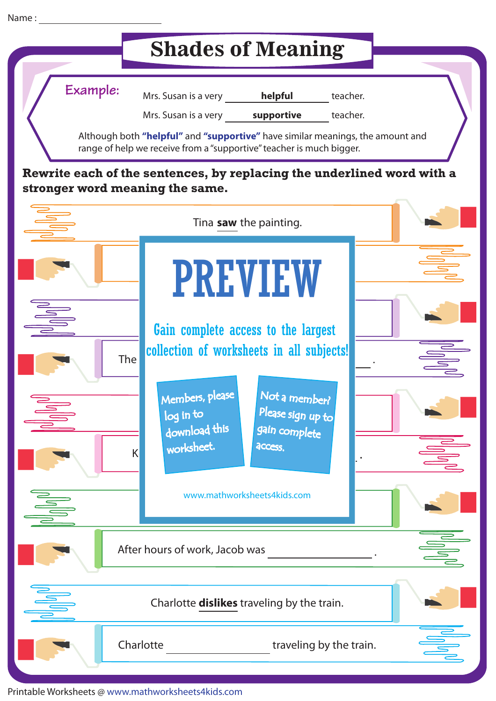